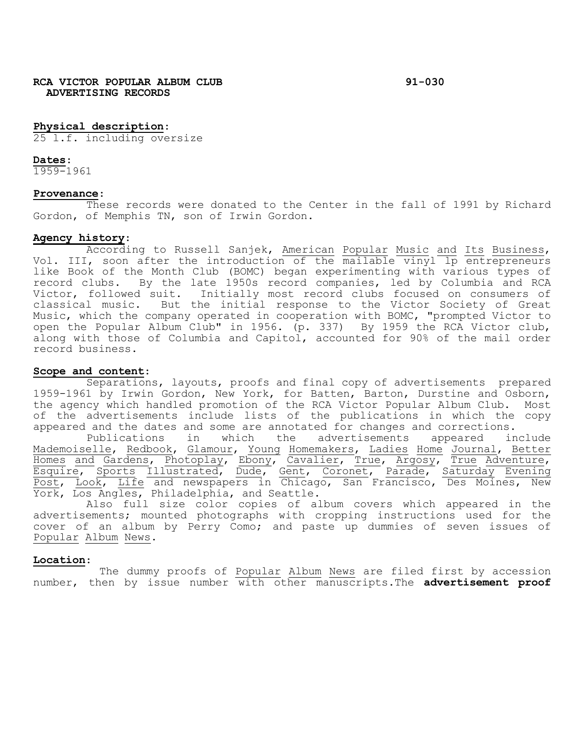# **Physical description**:

25 l.f. including oversize

## **Dates**:

1959-1961

## **Provenance**:

These records were donated to the Center in the fall of 1991 by Richard Gordon, of Memphis TN, son of Irwin Gordon.

Agency history:<br>According to Russell Sanjek, <u>American Popular Music</u> and Its Business, Vol. III, soon after the introduction of the mailable vinyl lp entrepreneurs like Book of the Month Club (BOMC) began experimenting with various types of record clubs. By the late 1950s record companies, led by Columbia and RCA Victor, followed suit. Initially most record clubs focused on consumers of classical music. But the initial response to the Victor Society of Great Music, which the company operated in cooperation with BOMC, "prompted Victor to open the Popular Album Club" in 1956. (p. 337) By 1959 the RCA Victor club, along with those of Columbia and Capitol, accounted for 90% of the mail order record business.

# **Scope and content**:

Separations, layouts, proofs and final copy of advertisements prepared 1959-1961 by Irwin Gordon, New York, for Batten, Barton, Durstine and Osborn, the agency which handled promotion of the RCA Victor Popular Album Club. Most of the advertisements include lists of the publications in which the copy appeared and the dates and some are annotated for changes and corrections.

Publications in which the advertisements appeared include Mademoiselle, Redbook, Glamour, Young Homemakers, Ladies Home Journal, Better Homes and Gardens, Photoplay, Ebony, Cavalier, True, Argosy, True Adventure, Esquire, Sports Illustrated, Dude, Gent, Coronet, Parade, Saturday Evening Post, Look, Life and newspapers in Chicago, San Francisco, Des Moines, New York, Los Angles, Philadelphia, and Seattle.

Also full size color copies of album covers which appeared in the advertisements; mounted photographs with cropping instructions used for the cover of an album by Perry Como; and paste up dummies of seven issues of Popular Album News**.**

## **Location**:

 The dummy proofs of Popular Album News are filed first by accession number, then by issue number with other manuscripts.The **advertisement proof**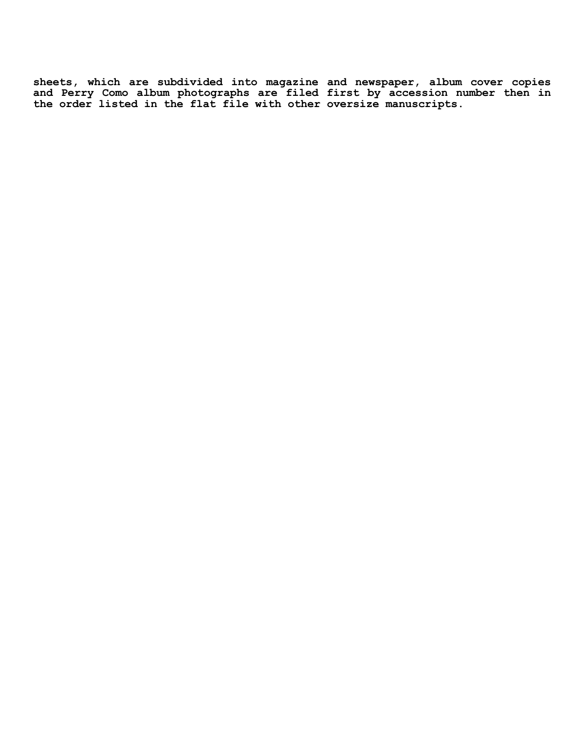**sheets, which are subdivided into magazine and newspaper, album cover copies and Perry Como album photographs are filed first by accession number then in the order listed in the flat file with other oversize manuscripts.**